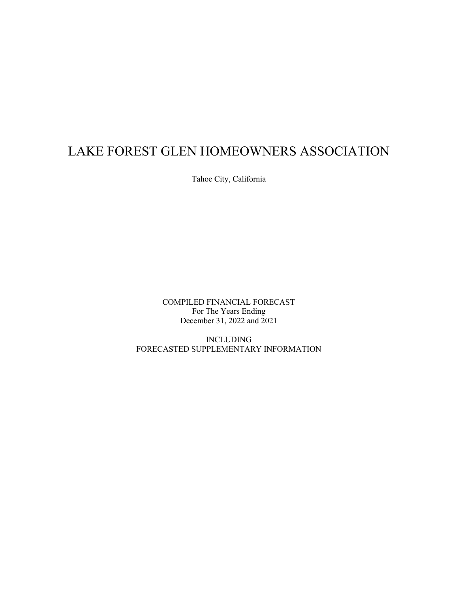Tahoe City, California

COMPILED FINANCIAL FORECAST For The Years Ending December 31, 2022 and 2021

INCLUDING FORECASTED SUPPLEMENTARY INFORMATION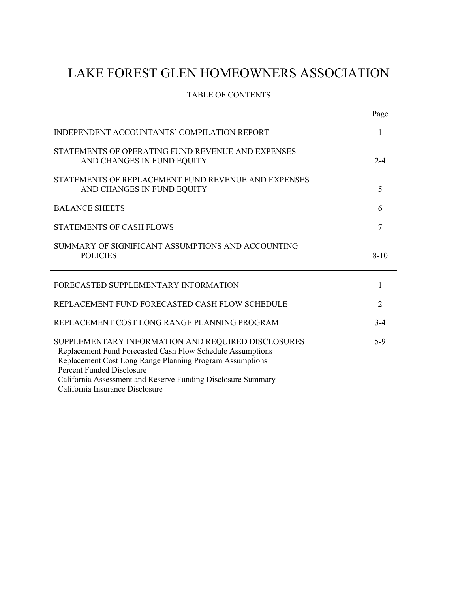## TABLE OF CONTENTS

|                                                                                   | Page                        |
|-----------------------------------------------------------------------------------|-----------------------------|
| INDEPENDENT ACCOUNTANTS' COMPILATION REPORT                                       | 1                           |
| STATEMENTS OF OPERATING FUND REVENUE AND EXPENSES<br>AND CHANGES IN FUND EQUITY   | $2 - 4$                     |
| STATEMENTS OF REPLACEMENT FUND REVENUE AND EXPENSES<br>AND CHANGES IN FUND EQUITY | 5                           |
| <b>BALANCE SHEETS</b>                                                             | 6                           |
| <b>STATEMENTS OF CASH FLOWS</b>                                                   | 7                           |
| SUMMARY OF SIGNIFICANT ASSUMPTIONS AND ACCOUNTING<br><b>POLICIES</b>              | $8 - 10$                    |
|                                                                                   |                             |
| FORECASTED SUPPLEMENTARY INFORMATION                                              | 1                           |
| REPLACEMENT FUND FORECASTED CASH FLOW SCHEDULE                                    | $\mathcal{D}_{\mathcal{L}}$ |
| REPLACEMENT COST LONG RANGE PLANNING PROGRAM                                      | $3 - 4$                     |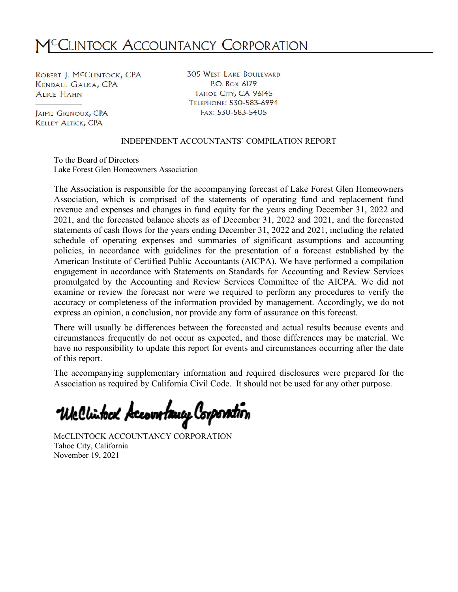# M<sup>C</sup>CLINTOCK ACCOUNTANCY CORPORATION

ROBERT J. MCCLINTOCK, CPA **KENDALL GALKA, CPA ALICE HAHN** 

**JAIME GIGNOUX, CPA KELLEY ALTICK, CPA** 

**305 WEST LAKE BOULEVARD** P.O. Box 6179 TAHOE CITY, CA 96145 TELEPHONE: 530-583-6994 FAX: 530-583-5405

#### INDEPENDENT ACCOUNTANTS' COMPILATION REPORT

To the Board of Directors Lake Forest Glen Homeowners Association

The Association is responsible for the accompanying forecast of Lake Forest Glen Homeowners Association, which is comprised of the statements of operating fund and replacement fund revenue and expenses and changes in fund equity for the years ending December 31, 2022 and 2021, and the forecasted balance sheets as of December 31, 2022 and 2021, and the forecasted statements of cash flows for the years ending December 31, 2022 and 2021, including the related schedule of operating expenses and summaries of significant assumptions and accounting policies, in accordance with guidelines for the presentation of a forecast established by the American Institute of Certified Public Accountants (AICPA). We have performed a compilation engagement in accordance with Statements on Standards for Accounting and Review Services promulgated by the Accounting and Review Services Committee of the AICPA. We did not examine or review the forecast nor were we required to perform any procedures to verify the accuracy or completeness of the information provided by management. Accordingly, we do not express an opinion, a conclusion, nor provide any form of assurance on this forecast.

There will usually be differences between the forecasted and actual results because events and circumstances frequently do not occur as expected, and those differences may be material. We have no responsibility to update this report for events and circumstances occurring after the date of this report.

The accompanying supplementary information and required disclosures were prepared for the Association as required by California Civil Code. It should not be used for any other purpose.

We Clintock Accountancy Corporation

McCLINTOCK ACCOUNTANCY CORPORATION Tahoe City, California November 19, 2021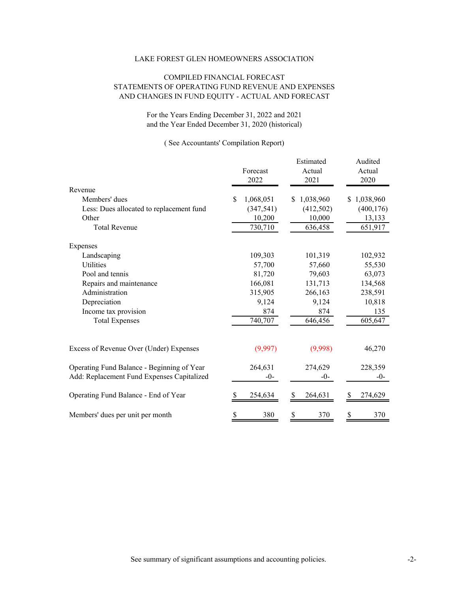#### COMPILED FINANCIAL FORECAST STATEMENTS OF OPERATING FUND REVENUE AND EXPENSES AND CHANGES IN FUND EQUITY - ACTUAL AND FORECAST

For the Years Ending December 31, 2022 and 2021 and the Year Ended December 31, 2020 (historical)

|                                            | Forecast<br>2022 | Estimated<br>Actual<br>2021 | Audited<br>Actual<br>2020 |
|--------------------------------------------|------------------|-----------------------------|---------------------------|
| Revenue                                    |                  |                             |                           |
| Members' dues                              | 1,068,051<br>S   | 1,038,960<br>S.             | \$1,038,960               |
| Less: Dues allocated to replacement fund   | (347, 541)       | (412,502)                   | (400, 176)                |
| Other                                      | 10,200           | 10,000                      | 13,133                    |
| <b>Total Revenue</b>                       | 730,710          | 636,458                     | 651,917                   |
| Expenses                                   |                  |                             |                           |
| Landscaping                                | 109,303          | 101,319                     | 102,932                   |
| Utilities                                  | 57,700           | 57,660                      | 55,530                    |
| Pool and tennis                            | 81,720           | 79,603                      | 63,073                    |
| Repairs and maintenance                    | 166,081          | 131,713                     | 134,568                   |
| Administration                             | 315,905          | 266,163                     | 238,591                   |
| Depreciation                               | 9,124            | 9,124                       | 10,818                    |
| Income tax provision                       | 874              | 874                         | 135                       |
| <b>Total Expenses</b>                      | 740,707          | 646,456                     | 605,647                   |
| Excess of Revenue Over (Under) Expenses    | (9,997)          | (9,998)                     | 46,270                    |
| Operating Fund Balance - Beginning of Year | 264,631          | 274,629                     | 228,359                   |
| Add: Replacement Fund Expenses Capitalized | $-0-$            | $-0-$                       | $-0-$                     |
| Operating Fund Balance - End of Year       | 254,634          | 264,631<br>S                | 274,629                   |
| Members' dues per unit per month           | 380<br>\$        | \$<br>370                   | 370<br>\$                 |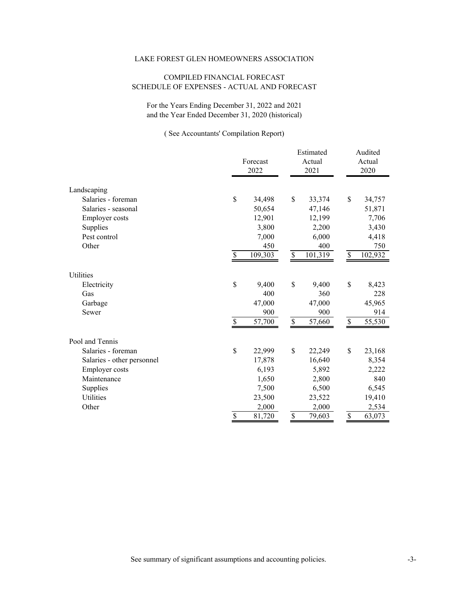#### COMPILED FINANCIAL FORECAST SCHEDULE OF EXPENSES - ACTUAL AND FORECAST

For the Years Ending December 31, 2022 and 2021 and the Year Ended December 31, 2020 (historical)

|                            | 2022         |          |                          | Estimated |      | Audited |
|----------------------------|--------------|----------|--------------------------|-----------|------|---------|
|                            |              | Forecast |                          | Actual    |      | Actual  |
|                            |              |          |                          | 2021      |      | 2020    |
|                            |              |          |                          |           |      |         |
| Landscaping                |              |          |                          |           |      |         |
| Salaries - foreman         | \$           | 34,498   | \$                       | 33,374    | \$   | 34,757  |
| Salaries - seasonal        |              | 50,654   |                          | 47,146    |      | 51,871  |
| <b>Employer</b> costs      |              | 12,901   |                          | 12,199    |      | 7,706   |
| Supplies                   |              | 3,800    |                          | 2,200     |      | 3,430   |
| Pest control               |              | 7,000    |                          | 6,000     |      | 4,418   |
| Other                      |              | 450      |                          | 400       |      | 750     |
|                            | \$           | 109,303  | $\overline{\mathcal{S}}$ | 101,319   | \$   | 102,932 |
| Utilities                  |              |          |                          |           |      |         |
| Electricity                | $\mathbb{S}$ | 9,400    | $\$$                     | 9,400     | $\$$ | 8,423   |
| Gas                        |              | 400      |                          | 360       |      | 228     |
| Garbage                    |              | 47,000   |                          | 47,000    |      | 45,965  |
| Sewer                      |              | 900      |                          | 900       |      | 914     |
|                            | \$           | 57,700   | $\$$                     | 57,660    | $\$$ | 55,530  |
| Pool and Tennis            |              |          |                          |           |      |         |
| Salaries - foreman         | $\mathbb{S}$ | 22,999   | $\mathcal{S}$            | 22,249    | \$   | 23,168  |
| Salaries - other personnel |              | 17,878   |                          | 16,640    |      | 8,354   |
| <b>Employer</b> costs      |              | 6,193    |                          | 5,892     |      | 2,222   |
| Maintenance                |              | 1,650    |                          | 2,800     |      | 840     |
| Supplies                   |              | 7,500    |                          | 6,500     |      | 6,545   |
| Utilities                  |              | 23,500   |                          | 23,522    |      | 19,410  |
| Other                      |              | 2,000    |                          | 2,000     |      | 2,534   |
|                            | \$           | 81,720   | \$                       | 79,603    | \$   | 63,073  |
|                            |              |          |                          |           |      |         |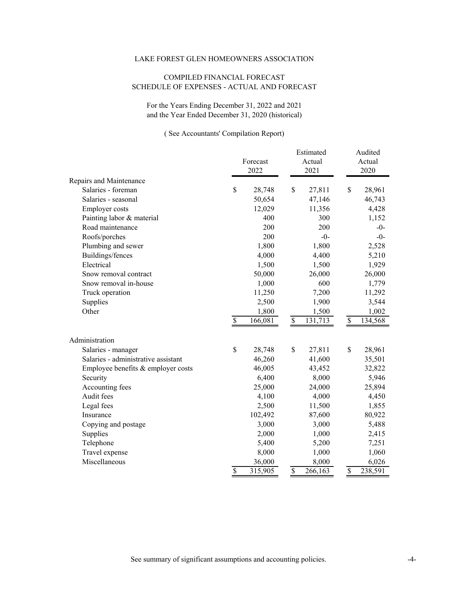#### COMPILED FINANCIAL FORECAST SCHEDULE OF EXPENSES - ACTUAL AND FORECAST

For the Years Ending December 31, 2022 and 2021 and the Year Ended December 31, 2020 (historical)

|                                     |                          | Forecast<br>2022 | Estimated<br>Actual<br>2021 |         |                          | Audited<br>Actual<br>2020 |
|-------------------------------------|--------------------------|------------------|-----------------------------|---------|--------------------------|---------------------------|
| Repairs and Maintenance             |                          |                  |                             |         |                          |                           |
| Salaries - foreman                  | \$                       | 28,748           | \$                          | 27,811  | \$                       | 28,961                    |
| Salaries - seasonal                 |                          | 50,654           |                             | 47,146  |                          | 46,743                    |
| <b>Employer</b> costs               |                          | 12,029           |                             | 11,356  |                          | 4,428                     |
| Painting labor & material           |                          | 400              |                             | 300     |                          | 1,152                     |
| Road maintenance                    |                          | 200              |                             | 200     |                          | $-0-$                     |
| Roofs/porches                       |                          | 200              |                             | $-0-$   |                          | $-()$                     |
| Plumbing and sewer                  |                          | 1,800            |                             | 1,800   |                          | 2,528                     |
| Buildings/fences                    |                          | 4,000            |                             | 4,400   |                          | 5,210                     |
| Electrical                          |                          | 1,500            |                             | 1,500   |                          | 1,929                     |
| Snow removal contract               |                          | 50,000           |                             | 26,000  |                          | 26,000                    |
| Snow removal in-house               |                          | 1,000            |                             | 600     |                          | 1,779                     |
| Truck operation                     |                          | 11,250           |                             | 7,200   |                          | 11,292                    |
| Supplies                            |                          | 2,500            |                             | 1,900   |                          | 3,544                     |
| Other                               |                          | 1,800            |                             | 1,500   |                          | 1,002                     |
|                                     | $\mathbb{S}$             | 166,081          | \$                          | 131,713 | \$                       | 134,568                   |
| Administration                      |                          |                  |                             |         |                          |                           |
| Salaries - manager                  | \$                       | 28,748           | \$                          | 27,811  | \$                       | 28,961                    |
| Salaries - administrative assistant |                          | 46,260           |                             | 41,600  |                          | 35,501                    |
| Employee benefits & employer costs  |                          | 46,005           |                             | 43,452  |                          | 32,822                    |
| Security                            |                          | 6,400            |                             | 8,000   |                          | 5,946                     |
| Accounting fees                     |                          | 25,000           |                             | 24,000  |                          | 25,894                    |
| Audit fees                          |                          | 4,100            |                             | 4,000   |                          | 4,450                     |
| Legal fees                          |                          | 2,500            |                             | 11,500  |                          | 1,855                     |
| Insurance                           |                          | 102,492          |                             | 87,600  |                          | 80,922                    |
| Copying and postage                 |                          | 3,000            |                             | 3,000   |                          | 5,488                     |
| Supplies                            |                          | 2,000            |                             | 1,000   |                          | 2,415                     |
| Telephone                           |                          | 5,400            |                             | 5,200   |                          | 7,251                     |
| Travel expense                      |                          | 8,000            |                             | 1,000   |                          | 1,060                     |
| Miscellaneous                       |                          | 36,000           |                             | 8,000   |                          | 6,026                     |
|                                     | $\overline{\mathcal{S}}$ | 315,905          | $\overline{\mathcal{S}}$    | 266,163 | $\overline{\mathcal{S}}$ | 238,591                   |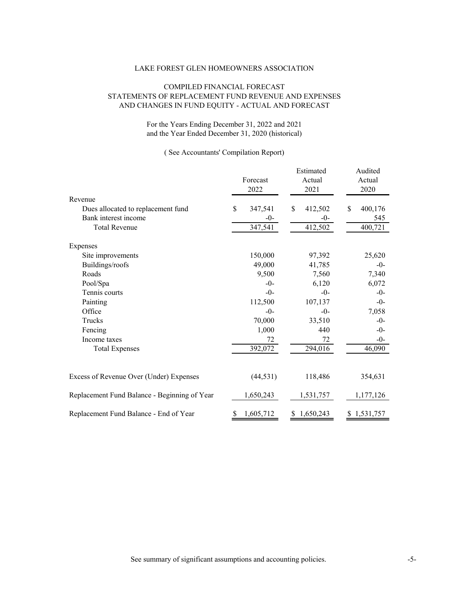#### COMPILED FINANCIAL FORECAST STATEMENTS OF REPLACEMENT FUND REVENUE AND EXPENSES AND CHANGES IN FUND EQUITY - ACTUAL AND FORECAST

#### For the Years Ending December 31, 2022 and 2021 and the Year Ended December 31, 2020 (historical)

|                                              | Forecast<br>2022 | Estimated<br>Actual<br>2021 | Audited<br>Actual<br>2020 |
|----------------------------------------------|------------------|-----------------------------|---------------------------|
| Revenue                                      |                  |                             |                           |
| Dues allocated to replacement fund           | \$<br>347,541    | \$<br>412,502               | \$.<br>400,176            |
| Bank interest income                         | $-0-$            | $-0-$                       | 545                       |
| <b>Total Revenue</b>                         | 347,541          | 412,502                     | 400,721                   |
| Expenses                                     |                  |                             |                           |
| Site improvements                            | 150,000          | 97,392                      | 25,620                    |
| Buildings/roofs                              | 49,000           | 41,785                      | $-0-$                     |
| Roads                                        | 9,500            | 7,560                       | 7,340                     |
| Pool/Spa                                     | $-0-$            | 6,120                       | 6,072                     |
| Tennis courts                                | $-0-$            | $-0-$                       | $-0-$                     |
| Painting                                     | 112,500          | 107,137                     | $-0-$                     |
| Office                                       | $-0-$            | $-()$                       | 7,058                     |
| Trucks                                       | 70,000           | 33,510                      | $-0-$                     |
| Fencing                                      | 1,000            | 440                         | $-0-$                     |
| Income taxes                                 | 72               | 72                          | $-0-$                     |
| <b>Total Expenses</b>                        | 392,072          | 294,016                     | 46,090                    |
| Excess of Revenue Over (Under) Expenses      | (44, 531)        | 118,486                     | 354,631                   |
|                                              |                  |                             |                           |
| Replacement Fund Balance - Beginning of Year | 1,650,243        | 1,531,757                   | 1,177,126                 |
| Replacement Fund Balance - End of Year       | 1,605,712<br>S   | 1,650,243<br>S.             | \$1,531,757               |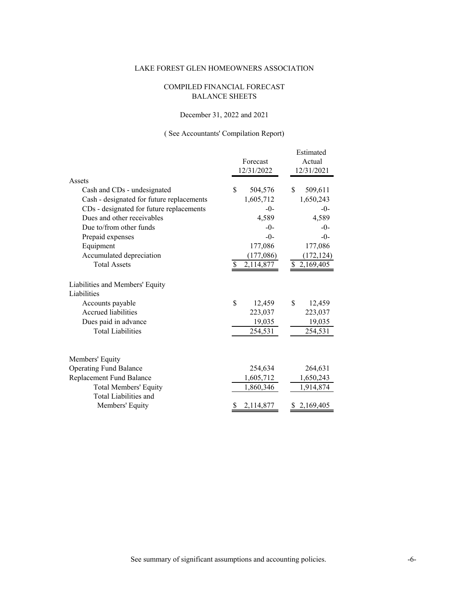#### COMPILED FINANCIAL FORECAST BALANCE SHEETS

#### December 31, 2022 and 2021

|                                           | Forecast<br>12/31/2022 | Estimated<br>Actual<br>12/31/2021 |  |  |
|-------------------------------------------|------------------------|-----------------------------------|--|--|
| Assets                                    |                        |                                   |  |  |
| Cash and CDs - undesignated               | \$<br>504,576          | \$<br>509,611                     |  |  |
| Cash - designated for future replacements | 1,605,712              | 1,650,243                         |  |  |
| CDs - designated for future replacements  | $-()$                  | $-0-$                             |  |  |
| Dues and other receivables                | 4,589                  | 4,589                             |  |  |
| Due to/from other funds                   | $-()$                  | $-0-$                             |  |  |
| Prepaid expenses                          | $-()$                  | $-0-$                             |  |  |
| Equipment                                 | 177,086                | 177,086                           |  |  |
| Accumulated depreciation                  | (177,086)              | (172, 124)                        |  |  |
| <b>Total Assets</b>                       | 2,114,877              | \$2,169,405                       |  |  |
| Liabilities and Members' Equity           |                        |                                   |  |  |
| Liabilities                               |                        |                                   |  |  |
| Accounts payable                          | \$<br>12,459           | \$<br>12,459                      |  |  |
| Accrued liabilities                       | 223,037                | 223,037                           |  |  |
| Dues paid in advance                      | 19,035                 | 19,035                            |  |  |
| <b>Total Liabilities</b>                  | 254,531                | 254,531                           |  |  |
|                                           |                        |                                   |  |  |
| Members' Equity                           |                        |                                   |  |  |
| <b>Operating Fund Balance</b>             | 254,634                | 264,631                           |  |  |
| Replacement Fund Balance                  | 1,605,712              | 1,650,243                         |  |  |
| <b>Total Members' Equity</b>              | 1,860,346              | 1,914,874                         |  |  |
| Total Liabilities and                     |                        |                                   |  |  |
| Members' Equity                           | 2,114,877              | \$2,169,405                       |  |  |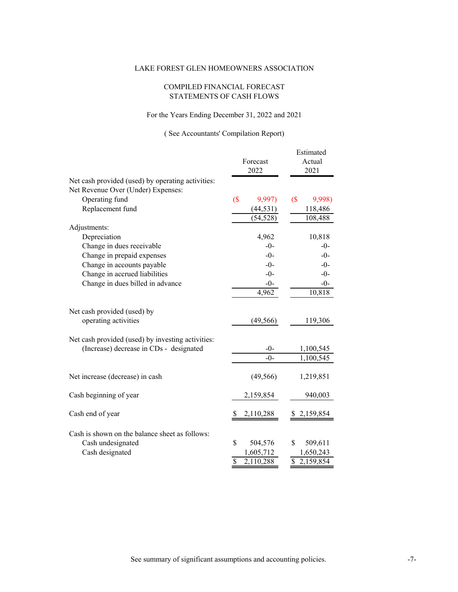#### COMPILED FINANCIAL FORECAST STATEMENTS OF CASH FLOWS

#### For the Years Ending December 31, 2022 and 2021

|                                                   |                                                      | Estimated                            |
|---------------------------------------------------|------------------------------------------------------|--------------------------------------|
|                                                   | Forecast                                             | Actual                               |
|                                                   | 2022                                                 | 2021                                 |
| Net cash provided (used) by operating activities: |                                                      |                                      |
| Net Revenue Over (Under) Expenses:                |                                                      |                                      |
| Operating fund                                    | $($ \$<br>9,997)                                     | $($ \$<br>9,998)                     |
| Replacement fund                                  | (44, 531)                                            | 118,486                              |
|                                                   | (54, 528)                                            | 108,488                              |
| Adjustments:                                      |                                                      |                                      |
| Depreciation                                      | 4,962                                                | 10,818                               |
| Change in dues receivable                         | $-0-$                                                | $-0-$                                |
| Change in prepaid expenses                        | $-0-$                                                | $-0-$                                |
| Change in accounts payable                        | $-0-$                                                | $-0-$                                |
| Change in accrued liabilities                     | $-()$                                                | $-0-$                                |
| Change in dues billed in advance                  | $-0-$                                                | $-0-$                                |
|                                                   | 4,962                                                | 10,818                               |
|                                                   |                                                      |                                      |
| Net cash provided (used) by                       |                                                      |                                      |
| operating activities                              | (49, 566)                                            | 119,306                              |
|                                                   |                                                      |                                      |
| Net cash provided (used) by investing activities: |                                                      |                                      |
| (Increase) decrease in CDs - designated           | $-0-$                                                | 1,100,545                            |
|                                                   | $-0-$                                                | 1,100,545                            |
|                                                   |                                                      |                                      |
| Net increase (decrease) in cash                   | (49, 566)                                            | 1,219,851                            |
|                                                   |                                                      |                                      |
| Cash beginning of year                            | 2,159,854                                            | 940,003                              |
|                                                   |                                                      |                                      |
| Cash end of year                                  | 2,110,288<br>S                                       | 2,159,854<br>S                       |
|                                                   |                                                      |                                      |
| Cash is shown on the balance sheet as follows:    |                                                      |                                      |
| Cash undesignated                                 | \$<br>504,576                                        | \$<br>509,611                        |
| Cash designated                                   | 1,605,712                                            | 1,650,243                            |
|                                                   | $\overline{\mathsf{S}}$<br>$\overline{2}$ , 110, 288 | $\overline{\mathbb{S}}$<br>2,159,854 |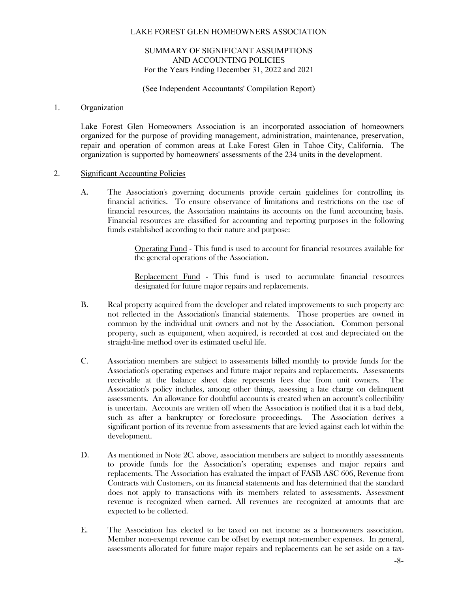#### SUMMARY OF SIGNIFICANT ASSUMPTIONS AND ACCOUNTING POLICIES For the Years Ending December 31, 2022 and 2021

(See Independent Accountants' Compilation Report)

#### 1. Organization

Lake Forest Glen Homeowners Association is an incorporated association of homeowners organized for the purpose of providing management, administration, maintenance, preservation, repair and operation of common areas at Lake Forest Glen in Tahoe City, California. The organization is supported by homeowners' assessments of the 234 units in the development.

#### 2. Significant Accounting Policies

A. The Association's governing documents provide certain guidelines for controlling its financial activities. To ensure observance of limitations and restrictions on the use of financial resources, the Association maintains its accounts on the fund accounting basis. Financial resources are classified for accounting and reporting purposes in the following funds established according to their nature and purpose:

> Operating Fund - This fund is used to account for financial resources available for the general operations of the Association.

> Replacement Fund - This fund is used to accumulate financial resources designated for future major repairs and replacements.

- B. Real property acquired from the developer and related improvements to such property are not reflected in the Association's financial statements. Those properties are owned in common by the individual unit owners and not by the Association. Common personal property, such as equipment, when acquired, is recorded at cost and depreciated on the straight-line method over its estimated useful life.
- C. Association members are subject to assessments billed monthly to provide funds for the Association's operating expenses and future major repairs and replacements. Assessments receivable at the balance sheet date represents fees due from unit owners. The Association's policy includes, among other things, assessing a late charge on delinquent assessments. An allowance for doubtful accounts is created when an account's collectibility is uncertain. Accounts are written off when the Association is notified that it is a bad debt, such as after a bankruptcy or foreclosure proceedings. The Association derives a significant portion of its revenue from assessments that are levied against each lot within the development.
- D. As mentioned in Note 2C. above, association members are subject to monthly assessments to provide funds for the Association's operating expenses and major repairs and replacements. The Association has evaluated the impact of FASB ASC 606, Revenue from Contracts with Customers, on its financial statements and has determined that the standard does not apply to transactions with its members related to assessments. Assessment revenue is recognized when earned. All revenues are recognized at amounts that are expected to be collected.
- E. The Association has elected to be taxed on net income as a homeowners association. Member non-exempt revenue can be offset by exempt non-member expenses. In general, assessments allocated for future major repairs and replacements can be set aside on a tax-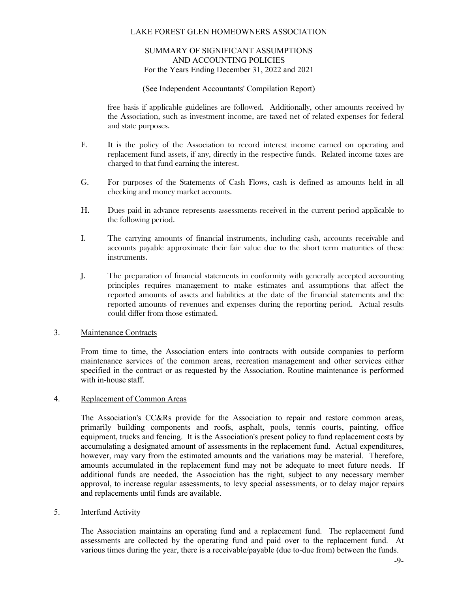#### SUMMARY OF SIGNIFICANT ASSUMPTIONS AND ACCOUNTING POLICIES For the Years Ending December 31, 2022 and 2021

#### (See Independent Accountants' Compilation Report)

free basis if applicable guidelines are followed. Additionally, other amounts received by the Association, such as investment income, are taxed net of related expenses for federal and state purposes.

- F. It is the policy of the Association to record interest income earned on operating and replacement fund assets, if any, directly in the respective funds. Related income taxes are charged to that fund earning the interest.
- G. For purposes of the Statements of Cash Flows, cash is defined as amounts held in all checking and money market accounts.
- H. Dues paid in advance represents assessments received in the current period applicable to the following period.
- I. The carrying amounts of financial instruments, including cash, accounts receivable and accounts payable approximate their fair value due to the short term maturities of these instruments.
- J. The preparation of financial statements in conformity with generally accepted accounting principles requires management to make estimates and assumptions that affect the reported amounts of assets and liabilities at the date of the financial statements and the reported amounts of revenues and expenses during the reporting period. Actual results could differ from those estimated.

#### 3. Maintenance Contracts

From time to time, the Association enters into contracts with outside companies to perform maintenance services of the common areas, recreation management and other services either specified in the contract or as requested by the Association. Routine maintenance is performed with in-house staff.

#### 4. Replacement of Common Areas

The Association's CC&Rs provide for the Association to repair and restore common areas, primarily building components and roofs, asphalt, pools, tennis courts, painting, office equipment, trucks and fencing. It is the Association's present policy to fund replacement costs by accumulating a designated amount of assessments in the replacement fund. Actual expenditures, however, may vary from the estimated amounts and the variations may be material. Therefore, amounts accumulated in the replacement fund may not be adequate to meet future needs. If additional funds are needed, the Association has the right, subject to any necessary member approval, to increase regular assessments, to levy special assessments, or to delay major repairs and replacements until funds are available.

#### 5. Interfund Activity

The Association maintains an operating fund and a replacement fund. The replacement fund assessments are collected by the operating fund and paid over to the replacement fund. At various times during the year, there is a receivable/payable (due to-due from) between the funds.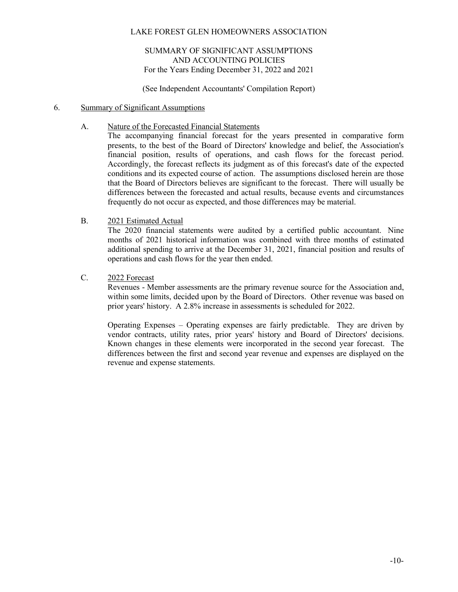#### SUMMARY OF SIGNIFICANT ASSUMPTIONS AND ACCOUNTING POLICIES For the Years Ending December 31, 2022 and 2021

(See Independent Accountants' Compilation Report)

#### 6. Summary of Significant Assumptions

#### A. Nature of the Forecasted Financial Statements

The accompanying financial forecast for the years presented in comparative form presents, to the best of the Board of Directors' knowledge and belief, the Association's financial position, results of operations, and cash flows for the forecast period. Accordingly, the forecast reflects its judgment as of this forecast's date of the expected conditions and its expected course of action. The assumptions disclosed herein are those that the Board of Directors believes are significant to the forecast. There will usually be differences between the forecasted and actual results, because events and circumstances frequently do not occur as expected, and those differences may be material.

#### B. 2021 Estimated Actual

The 2020 financial statements were audited by a certified public accountant. Nine months of 2021 historical information was combined with three months of estimated additional spending to arrive at the December 31, 2021, financial position and results of operations and cash flows for the year then ended.

#### C. 2022 Forecast

Revenues - Member assessments are the primary revenue source for the Association and, within some limits, decided upon by the Board of Directors. Other revenue was based on prior years' history. A 2.8% increase in assessments is scheduled for 2022.

Operating Expenses – Operating expenses are fairly predictable. They are driven by vendor contracts, utility rates, prior years' history and Board of Directors' decisions. Known changes in these elements were incorporated in the second year forecast. The differences between the first and second year revenue and expenses are displayed on the revenue and expense statements.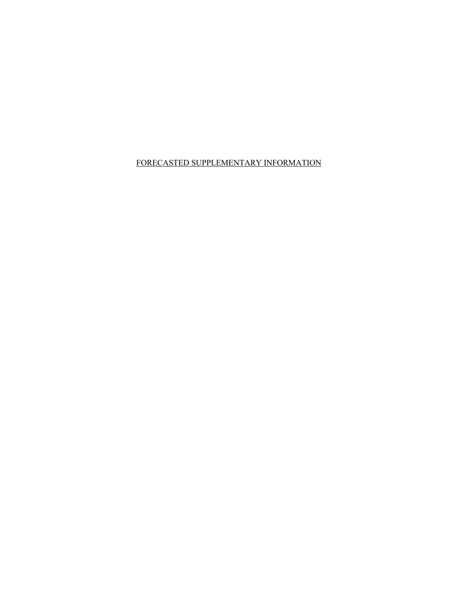FORECASTED SUPPLEMENTARY INFORMATION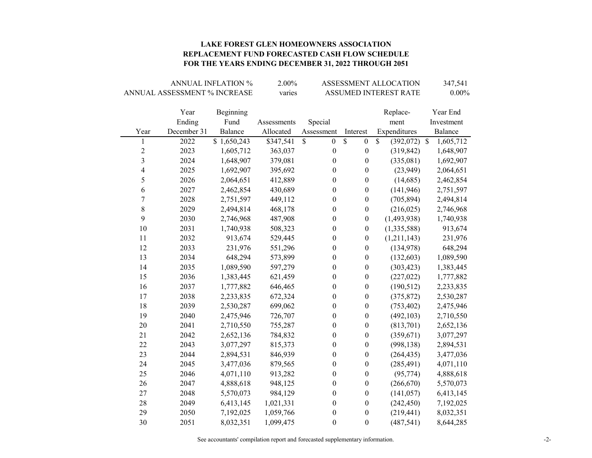#### **LAKE FOREST GLEN HOMEOWNERS ASSOCIATION REPLACEMENT FUND FORECASTED CASH FLOW SCHEDULE FOR THE YEARS ENDING DECEMBER 31, 2022 THROUGH 2051**

|                         |                              | <b>ANNUAL INFLATION %</b> | 2.00%       | ASSESSMENT ALLOCATION            | 347,541                |                                |            |
|-------------------------|------------------------------|---------------------------|-------------|----------------------------------|------------------------|--------------------------------|------------|
|                         | ANNUAL ASSESSMENT % INCREASE |                           | varies      |                                  | ASSUMED INTEREST RATE  |                                |            |
|                         |                              |                           |             |                                  |                        |                                |            |
|                         | Year                         | Beginning                 |             |                                  |                        | Replace-                       | Year End   |
|                         | Ending                       | Fund                      | Assessments | Special                          |                        | ment                           | Investment |
| Year                    | December 31                  | Balance                   | Allocated   | Assessment                       | Interest               | Expenditures                   | Balance    |
| 1                       | 2022                         | \$1,650,243               | \$347,541   | $\mathbb{S}$<br>$\boldsymbol{0}$ | \$<br>$\boldsymbol{0}$ | $\mathbb{S}$<br>$(392,072)$ \$ | 1,605,712  |
| $\overline{\mathbf{c}}$ | 2023                         | 1,605,712                 | 363,037     | $\boldsymbol{0}$                 | $\boldsymbol{0}$       | (319, 842)                     | 1,648,907  |
| 3                       | 2024                         | 1,648,907                 | 379,081     | $\boldsymbol{0}$                 | $\boldsymbol{0}$       | (335,081)                      | 1,692,907  |
| 4                       | 2025                         | 1,692,907                 | 395,692     | $\boldsymbol{0}$                 | $\boldsymbol{0}$       | (23,949)                       | 2,064,651  |
| 5                       | 2026                         | 2,064,651                 | 412,889     | $\boldsymbol{0}$                 | $\boldsymbol{0}$       | (14,685)                       | 2,462,854  |
| 6                       | 2027                         | 2,462,854                 | 430,689     | $\boldsymbol{0}$                 | $\boldsymbol{0}$       | (141, 946)                     | 2,751,597  |
| 7                       | 2028                         | 2,751,597                 | 449,112     | $\boldsymbol{0}$                 | $\boldsymbol{0}$       | (705, 894)                     | 2,494,814  |
| 8                       | 2029                         | 2,494,814                 | 468,178     | $\boldsymbol{0}$                 | $\boldsymbol{0}$       | (216, 025)                     | 2,746,968  |
| 9                       | 2030                         | 2,746,968                 | 487,908     | $\boldsymbol{0}$                 | $\boldsymbol{0}$       | (1,493,938)                    | 1,740,938  |
| 10                      | 2031                         | 1,740,938                 | 508,323     | $\boldsymbol{0}$                 | $\boldsymbol{0}$       | (1,335,588)                    | 913,674    |
| 11                      | 2032                         | 913,674                   | 529,445     | $\boldsymbol{0}$                 | $\boldsymbol{0}$       | (1,211,143)                    | 231,976    |
| 12                      | 2033                         | 231,976                   | 551,296     | $\boldsymbol{0}$<br>0            |                        | (134,978)                      | 648,294    |
| 13                      | 2034                         | 648,294                   | 573,899     | $\boldsymbol{0}$                 | $\boldsymbol{0}$       | (132, 603)                     | 1,089,590  |
| 14                      | 2035                         | 1,089,590                 | 597,279     | $\boldsymbol{0}$                 | $\boldsymbol{0}$       | (303, 423)                     | 1,383,445  |
| 15                      | 2036                         | 1,383,445                 | 621,459     | $\boldsymbol{0}$                 | $\boldsymbol{0}$       | (227, 022)                     | 1,777,882  |
| 16                      | 2037                         | 1,777,882                 | 646,465     | $\boldsymbol{0}$                 | $\boldsymbol{0}$       | (190, 512)                     | 2,233,835  |
| 17                      | 2038                         | 2,233,835                 | 672,324     | $\boldsymbol{0}$                 | $\boldsymbol{0}$       | (375, 872)                     | 2,530,287  |
| 18                      | 2039                         | 2,530,287                 | 699,062     | $\boldsymbol{0}$                 | $\boldsymbol{0}$       | (753, 402)                     | 2,475,946  |
| 19                      | 2040                         | 2,475,946                 | 726,707     | $\boldsymbol{0}$                 | $\boldsymbol{0}$       | (492, 103)                     | 2,710,550  |
| 20                      | 2041                         | 2,710,550                 | 755,287     | $\boldsymbol{0}$                 | $\boldsymbol{0}$       | (813,701)                      | 2,652,136  |
| 21                      | 2042                         | 2,652,136                 | 784,832     | $\boldsymbol{0}$                 | $\boldsymbol{0}$       | (359, 671)                     | 3,077,297  |
| 22                      | 2043                         | 3,077,297                 | 815,373     | $\boldsymbol{0}$                 | $\boldsymbol{0}$       | (998, 138)                     | 2,894,531  |
| 23                      | 2044                         | 2,894,531                 | 846,939     | $\boldsymbol{0}$                 | $\boldsymbol{0}$       | (264, 435)                     | 3,477,036  |
| 24                      | 2045                         | 3,477,036                 | 879,565     | $\boldsymbol{0}$                 | $\boldsymbol{0}$       | (285, 491)                     | 4,071,110  |
| 25                      | 2046                         | 4,071,110                 | 913,282     | $\boldsymbol{0}$                 | $\boldsymbol{0}$       | (95, 774)                      | 4,888,618  |
| 26                      | 2047                         | 4,888,618                 | 948,125     | $\boldsymbol{0}$                 | $\boldsymbol{0}$       | (266, 670)                     | 5,570,073  |
| 27                      | 2048                         | 5,570,073                 | 984,129     | $\boldsymbol{0}$                 | $\boldsymbol{0}$       | (141, 057)                     | 6,413,145  |
| 28                      | 2049                         | 6,413,145                 | 1,021,331   | $\boldsymbol{0}$                 | $\boldsymbol{0}$       | (242, 450)                     | 7,192,025  |
| 29                      | 2050                         | 7,192,025                 | 1,059,766   | $\boldsymbol{0}$                 | $\boldsymbol{0}$       | (219, 441)                     | 8,032,351  |
| 30                      | 2051                         | 8,032,351                 | 1,099,475   | $\boldsymbol{0}$                 | $\boldsymbol{0}$       | (487, 541)                     | 8,644,285  |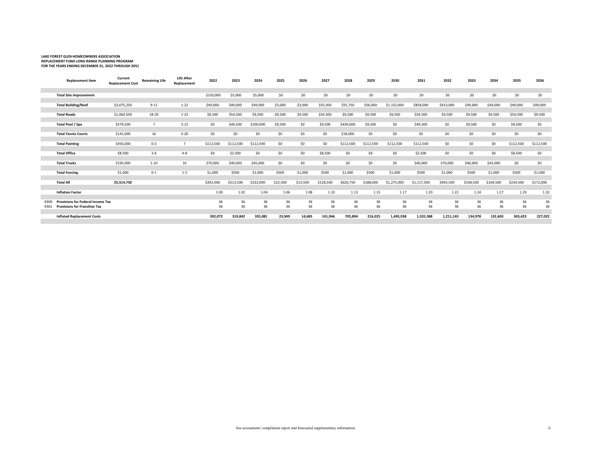## **LAKE FOREST GLEN HOMEOWNERS ASSOCIATION REPLACEMENT FUND LONG RANGE PLANNING PROGRAM FOR THE YEARS ENDING DECEMBER 31, 2022 THROUGH 2051**

|      | <b>Replacement Item</b>                  | Current<br><b>Replacement Cost</b> | <b>Remaining Life</b> | <b>Life After</b><br>Replacement | 2022      | 2023      | 2024      | 2025     | 2026     | 2027      | 2028      | 2029      | 2030        | 2031        | 2032      | 2033      | 2034      | 2035      | 2036      |
|------|------------------------------------------|------------------------------------|-----------------------|----------------------------------|-----------|-----------|-----------|----------|----------|-----------|-----------|-----------|-------------|-------------|-----------|-----------|-----------|-----------|-----------|
|      | <b>Total Site Improvement</b>            |                                    |                       |                                  | \$150,000 | \$5,000   | \$5,000   | \$0      | \$0      | \$0       | \$0       | \$0       | \$0         | \$0         | \$0       | \$0       | \$0       | \$0       | \$0       |
|      |                                          |                                    |                       |                                  |           |           |           |          |          |           |           |           |             |             |           |           |           |           |           |
|      | <b>Total Building/Roof</b>               | \$3,075,250                        | $9 - 11$              | $1 - 22$                         | \$49,000  | \$49,000  | \$49,000  | \$3,000  | \$3,000  | \$55,500  | \$55,750  | \$56,000  | \$1,152,000 | \$858,000   | \$913,000 | \$49,000  | \$49,000  | \$49,000  | \$49,000  |
|      | <b>Total Roads</b>                       | \$1,064,500                        | 18-20                 | $1 - 25$                         | \$9,500   | \$54,500  | \$9,500   | \$9,500  | \$9,500  | \$54,500  | \$9,500   | \$9,500   | \$9,500     | \$54,500    | \$9,500   | \$9,500   | \$9,500   | \$54,500  | \$9,500   |
|      |                                          |                                    |                       |                                  |           |           |           |          |          |           |           |           |             |             |           |           |           |           |           |
|      | Total Pool / Spa                         | \$579,500                          | $\overline{7}$        | $2 - 15$                         | \$0       | \$49,500  | \$100,000 | \$9,500  | \$0      | \$9,500   | \$430,000 | \$9,500   | \$0         | \$49,500    | \$0       | \$9,500   | \$0       | \$9,500   | \$0       |
|      |                                          |                                    |                       |                                  |           |           |           |          |          |           |           |           |             |             |           |           |           |           |           |
|      | <b>Total Tennis Courts</b>               | \$141,000                          | 16                    | $5 - 20$                         | \$0       | \$0       | \$0       | \$0      | \$0      | \$0       | \$18,000  | \$0       | \$0         | \$0         | \$0       | \$0       | \$0       | \$0       | \$0       |
|      | <b>Total Painting</b>                    | \$450,000                          | $0 - 3$               |                                  | \$112,500 | \$112,500 | \$112,500 | \$0      | \$0      | \$0       | \$112,500 | \$112,500 | \$112,500   | \$112,500   | \$0       | \$0       | \$0       | \$112,500 | \$112,500 |
|      |                                          |                                    |                       |                                  |           |           |           |          |          |           |           |           |             |             |           |           |           |           |           |
|      | <b>Total Office</b>                      | \$8,500                            | $2 - 6$               | $4 - 8$                          | \$0       | \$2,500   | \$0       | \$0      | \$0      | \$8,500   | \$0       | \$0       | \$0         | \$2,500     | \$0       | \$0       | \$0       | \$8,500   | \$0       |
|      | <b>Total Trucks</b>                      | \$195,000                          | $1 - 10$              | 10                               | \$70,000  | \$40,000  | \$45,000  | \$0      | \$0      | \$0       | \$0       | \$0       | \$0         | \$40,000    | \$70,000  | \$40,000  | \$45,000  | \$0       | \$0       |
|      |                                          |                                    |                       |                                  |           |           |           |          |          |           |           |           |             |             |           |           |           |           |           |
|      | <b>Total Fencing</b>                     | \$1,000                            | $0 - 1$               | $1 - 2$                          | \$1,000   | \$500     | \$1,000   | \$500    | \$1,000  | \$500     | \$1,000   | \$500     | \$1,000     | \$500       | \$1,000   | \$500     | \$1,000   | \$500     | \$1,000   |
|      | <b>Total All</b>                         | \$5,514,750                        |                       |                                  | \$392,000 | \$313,500 | \$322,000 | \$22,500 | \$13,500 | \$128,500 | \$626,750 | \$188,000 | \$1,275,000 | \$1,117,500 | \$993,500 | \$108,500 | \$104,500 | \$234,500 | \$172,000 |
|      |                                          |                                    |                       |                                  |           |           |           |          |          |           |           |           |             |             |           |           |           |           |           |
|      | <b>Inflation Factor</b>                  |                                    |                       |                                  | 1.00      | 1.02      | 1.04      | 1.06     | 1.08     | 1.10      | 1.13      | 1.15      | 1.17        | 1.20        | 1.22      | 1.24      | 1.27      | 1.29      | 1.32      |
| 9300 | <b>Provisions for Federal Income Tax</b> |                                    |                       |                                  | 36        | 36        | 36        | 36       | 36       | 36        | 36        | 36        | 36          | 36          | 36        | 36        | 36        | 36        | 36        |
| 9301 | <b>Provisions for Franchise Tax</b>      |                                    |                       |                                  | 36        | 36        | 36        | 36       | 36       | 36        | 36        | 36        | 36          | 36          | 36        | 36        | 36        | 36        | 36        |
|      |                                          |                                    |                       |                                  |           |           |           |          |          |           |           |           |             |             |           |           |           |           |           |
|      | <b>Inflated Replacement Costs</b>        |                                    |                       |                                  | 392,072   | 319,842   | 335,081   | 23,949   | 14,685   | 141,946   | 705,894   | 216,025   | 1,493,938   | 1,335,588   | 1,211,143 | 134,978   | 132,603   | 303,423   | 227,022   |
|      |                                          |                                    |                       |                                  |           |           |           |          |          |           |           |           |             |             |           |           |           |           |           |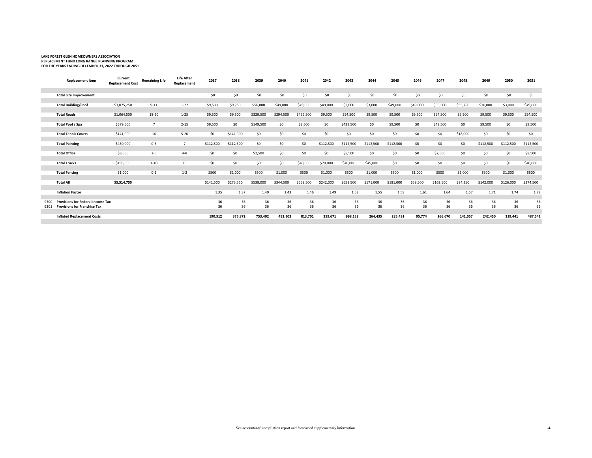## **LAKE FOREST GLEN HOMEOWNERS ASSOCIATION REPLACEMENT FUND LONG RANGE PLANNING PROGRAM FOR THE YEARS ENDING DECEMBER 31, 2022 THROUGH 2051**

|      | <b>Replacement Item</b>                  | Current<br><b>Replacement Cost</b> | <b>Remaining Life</b> | <b>Life After</b><br>Replacement | 2037      | 2038      | 2039      | 2040      | 2041      | 2042      | 2043      | 2044      | 2045      | 2046     | 2047      | 2048     | 2049      | 2050      | 2051      |
|------|------------------------------------------|------------------------------------|-----------------------|----------------------------------|-----------|-----------|-----------|-----------|-----------|-----------|-----------|-----------|-----------|----------|-----------|----------|-----------|-----------|-----------|
|      | <b>Total Site Improvement</b>            |                                    |                       |                                  | \$0       | \$0       | \$0       | \$0       | \$0       | \$0       | \$0       | \$0       | \$0       | \$0      | \$0       | \$0      | \$0       | \$0       | \$0       |
|      |                                          |                                    |                       |                                  |           |           |           |           |           |           |           |           |           |          |           |          |           |           |           |
|      | <b>Total Building/Roof</b>               | \$3,075,250                        | $9 - 11$              | $1 - 22$                         | \$9,500   | \$9,750   | \$56,000  | \$49,000  | \$49,000  | \$49,000  | \$3,000   | \$3,000   | \$49,000  | \$49,000 | \$55,500  | \$55,750 | \$10,000  | \$3,000   | \$49,000  |
|      |                                          |                                    |                       |                                  |           |           |           |           |           |           |           |           |           |          |           |          |           |           |           |
|      | <b>Total Roads</b>                       | \$1,064,500                        | 18-20                 | $1 - 25$                         | \$9,500   | \$9,500   | \$329,500 | \$294,500 | \$459,500 | \$9,500   | \$54,500  | \$9,500   | \$9,500   | \$9,500  | \$54,500  | \$9,500  | \$9,500   | \$9,500   | \$54,500  |
|      |                                          |                                    |                       |                                  |           |           |           |           |           |           |           |           |           |          |           |          |           |           |           |
|      | Total Pool / Spa                         | \$579,500                          | $\overline{7}$        | $2 - 15$                         | \$9,500   | \$0       | \$149,500 | \$0       | \$9,500   | \$0       | \$439,500 | \$0       | \$9,500   | \$0      | \$49,500  | \$0      | \$9,500   | \$0       | \$9,500   |
|      | <b>Total Tennis Courts</b>               |                                    | 16                    | $5 - 20$                         | \$0       |           | \$0       | \$0       | \$0       | \$0       | \$0       | \$0       | \$0       | \$0      | \$0       |          | \$0       | \$0       | \$0       |
|      |                                          | \$141,000                          |                       |                                  |           | \$141,000 |           |           |           |           |           |           |           |          |           | \$18,000 |           |           |           |
|      | <b>Total Painting</b>                    | \$450,000                          | $0 - 3$               |                                  | \$112,500 | \$112,500 | \$0       | \$0       | \$0       | \$112,500 | \$112,500 | \$112,500 | \$112,500 | \$0      | \$0       | \$0      | \$112,500 | \$112,500 | \$112,500 |
|      |                                          |                                    |                       |                                  |           |           |           |           |           |           |           |           |           |          |           |          |           |           |           |
|      | <b>Total Office</b>                      | \$8,500                            | $2 - 6$               | $4 - 8$                          | \$0       | \$0       | \$2,500   | \$0       | \$0       | \$0       | \$8,500   | \$0       | \$0       | \$0      | \$2,500   | \$0      | \$0       | \$0       | \$8,500   |
|      |                                          |                                    |                       |                                  |           |           |           |           |           |           |           |           |           |          |           |          |           |           |           |
|      | <b>Total Trucks</b>                      | \$195,000                          | $1 - 10$              | 10                               | \$0       | \$0       | \$0       | \$0       | \$40,000  | \$70,000  | \$40,000  | \$45,000  | \$0       | \$0      | \$0       | \$0      | \$0       | \$0       | \$40,000  |
|      |                                          |                                    |                       |                                  |           |           |           |           |           |           |           |           |           |          |           |          |           |           |           |
|      | <b>Total Fencing</b>                     | \$1,000                            | $0 - 1$               | $1 - 2$                          | \$500     | \$1,000   | \$500     | \$1,000   | \$500     | \$1,000   | \$500     | \$1,000   | \$500     | \$1,000  | \$500     | \$1,000  | \$500     | \$1,000   | \$500     |
|      |                                          |                                    |                       |                                  |           |           |           |           |           |           |           |           |           |          |           |          |           |           |           |
|      | <b>Total All</b>                         | \$5,514,750                        |                       |                                  | \$141,500 | \$273,750 | \$538,000 | \$344,500 | \$558,500 | \$242,000 | \$658,500 | \$171,000 | \$181,000 | \$59,500 | \$162,500 | \$84,250 | \$142,000 | \$126,000 | \$274,500 |
|      | <b>Inflation Factor</b>                  |                                    |                       |                                  | 1.35      | 1.37      | 1.40      | 1.43      | 1.46      | 1.49      | 1.52      | 1.55      | 1.58      | 1.61     | 1.64      | 1.67     | 1.71      | 1.74      | 1.78      |
|      |                                          |                                    |                       |                                  |           |           |           |           |           |           |           |           |           |          |           |          |           |           |           |
| 9300 | <b>Provisions for Federal Income Tax</b> |                                    |                       |                                  | 36        | 36        | 36        | 36        | 36        | 36        | 36        | 36        | 36        | 36       | 36        | 36       | 36        | 36        | 36        |
| 9301 | <b>Provisions for Franchise Tax</b>      |                                    |                       |                                  | 36        | 36        | 36        | 36        | 36        | 36        | 36        | 36        | 36        | 36       | 36        | 36       | 36        | 36        | 36        |
|      |                                          |                                    |                       |                                  |           |           |           |           |           |           |           |           |           |          |           |          |           |           |           |
|      | <b>Inflated Replacement Costs</b>        |                                    |                       |                                  | 190,512   | 375,872   | 753,402   | 492,103   | 813,701   | 359,671   | 998,138   | 264,435   | 285,491   | 95,774   | 266,670   | 141,057  | 242,450   | 219,441   | 487,541   |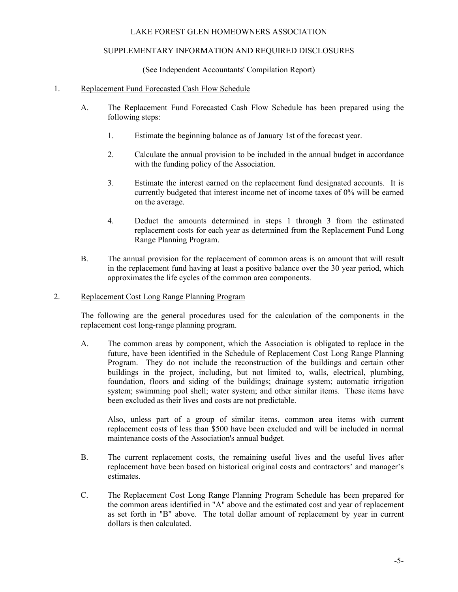#### SUPPLEMENTARY INFORMATION AND REQUIRED DISCLOSURES

(See Independent Accountants' Compilation Report)

#### 1. Replacement Fund Forecasted Cash Flow Schedule

- A. The Replacement Fund Forecasted Cash Flow Schedule has been prepared using the following steps:
	- 1. Estimate the beginning balance as of January 1st of the forecast year.
	- 2. Calculate the annual provision to be included in the annual budget in accordance with the funding policy of the Association.
	- 3. Estimate the interest earned on the replacement fund designated accounts. It is currently budgeted that interest income net of income taxes of 0% will be earned on the average.
	- 4. Deduct the amounts determined in steps 1 through 3 from the estimated replacement costs for each year as determined from the Replacement Fund Long Range Planning Program.
- B. The annual provision for the replacement of common areas is an amount that will result in the replacement fund having at least a positive balance over the 30 year period, which approximates the life cycles of the common area components.

#### 2. Replacement Cost Long Range Planning Program

The following are the general procedures used for the calculation of the components in the replacement cost long-range planning program.

A. The common areas by component, which the Association is obligated to replace in the future, have been identified in the Schedule of Replacement Cost Long Range Planning Program. They do not include the reconstruction of the buildings and certain other buildings in the project, including, but not limited to, walls, electrical, plumbing, foundation, floors and siding of the buildings; drainage system; automatic irrigation system; swimming pool shell; water system; and other similar items. These items have been excluded as their lives and costs are not predictable.

Also, unless part of a group of similar items, common area items with current replacement costs of less than \$500 have been excluded and will be included in normal maintenance costs of the Association's annual budget.

- B. The current replacement costs, the remaining useful lives and the useful lives after replacement have been based on historical original costs and contractors' and manager's estimates.
- C. The Replacement Cost Long Range Planning Program Schedule has been prepared for the common areas identified in "A" above and the estimated cost and year of replacement as set forth in "B" above. The total dollar amount of replacement by year in current dollars is then calculated.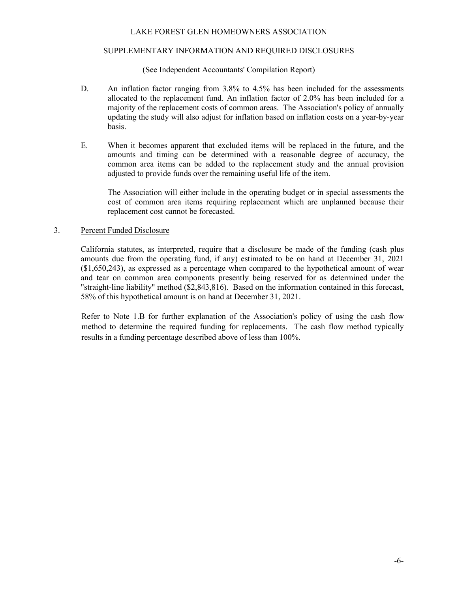#### SUPPLEMENTARY INFORMATION AND REQUIRED DISCLOSURES

(See Independent Accountants' Compilation Report)

- D. An inflation factor ranging from 3.8% to 4.5% has been included for the assessments allocated to the replacement fund. An inflation factor of 2.0% has been included for a majority of the replacement costs of common areas. The Association's policy of annually updating the study will also adjust for inflation based on inflation costs on a year-by-year basis.
- E. When it becomes apparent that excluded items will be replaced in the future, and the amounts and timing can be determined with a reasonable degree of accuracy, the common area items can be added to the replacement study and the annual provision adjusted to provide funds over the remaining useful life of the item.

The Association will either include in the operating budget or in special assessments the cost of common area items requiring replacement which are unplanned because their replacement cost cannot be forecasted.

#### 3. Percent Funded Disclosure

California statutes, as interpreted, require that a disclosure be made of the funding (cash plus amounts due from the operating fund, if any) estimated to be on hand at December 31, 2021 (\$1,650,243), as expressed as a percentage when compared to the hypothetical amount of wear and tear on common area components presently being reserved for as determined under the "straight-line liability" method (\$2,843,816). Based on the information contained in this forecast, 58% of this hypothetical amount is on hand at December 31, 2021.

Refer to Note 1.B for further explanation of the Association's policy of using the cash flow method to determine the required funding for replacements. The cash flow method typically results in a funding percentage described above of less than 100%.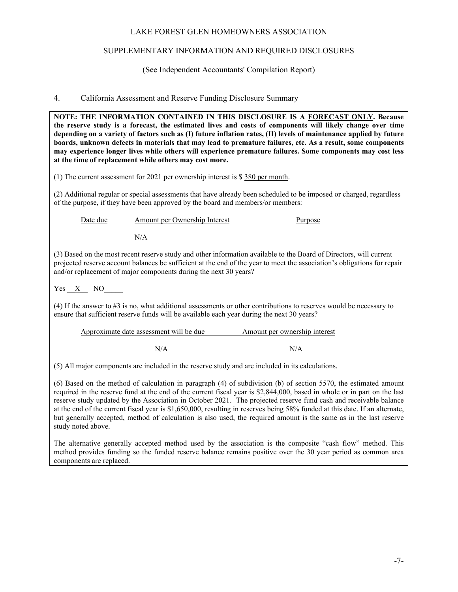#### SUPPLEMENTARY INFORMATION AND REQUIRED DISCLOSURES

#### (See Independent Accountants' Compilation Report)

#### 4. California Assessment and Reserve Funding Disclosure Summary

**NOTE: THE INFORMATION CONTAINED IN THIS DISCLOSURE IS A FORECAST ONLY. Because the reserve study is a forecast, the estimated lives and costs of components will likely change over time depending on a variety of factors such as (I) future inflation rates, (II) levels of maintenance applied by future boards, unknown defects in materials that may lead to premature failures, etc. As a result, some components may experience longer lives while others will experience premature failures. Some components may cost less at the time of replacement while others may cost more.**

(1) The current assessment for 2021 per ownership interest is \$ 380 per month.

(2) Additional regular or special assessments that have already been scheduled to be imposed or charged, regardless of the purpose, if they have been approved by the board and members/or members:

Date due Amount per Ownership Interest Purpose

N/A

(3) Based on the most recent reserve study and other information available to the Board of Directors, will current projected reserve account balances be sufficient at the end of the year to meet the association's obligations for repair and/or replacement of major components during the next 30 years?

Yes X NO

(4) If the answer to #3 is no, what additional assessments or other contributions to reserves would be necessary to ensure that sufficient reserve funds will be available each year during the next 30 years?

| Approximate date assessment will be due | Amount per ownership interest |
|-----------------------------------------|-------------------------------|
|                                         |                               |

 $N/A$   $N/A$ 

(5) All major components are included in the reserve study and are included in its calculations.

(6) Based on the method of calculation in paragraph (4) of subdivision (b) of section 5570, the estimated amount required in the reserve fund at the end of the current fiscal year is \$2,844,000, based in whole or in part on the last reserve study updated by the Association in October 2021. The projected reserve fund cash and receivable balance at the end of the current fiscal year is \$1,650,000, resulting in reserves being 58% funded at this date. If an alternate, but generally accepted, method of calculation is also used, the required amount is the same as in the last reserve study noted above.

The alternative generally accepted method used by the association is the composite "cash flow" method. This method provides funding so the funded reserve balance remains positive over the 30 year period as common area components are replaced.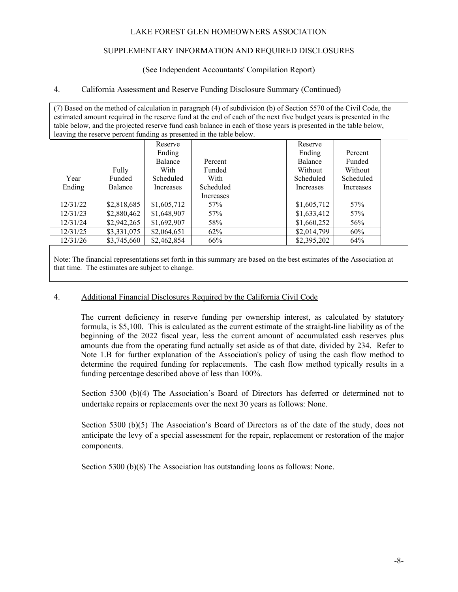#### SUPPLEMENTARY INFORMATION AND REQUIRED DISCLOSURES

#### (See Independent Accountants' Compilation Report)

#### 4. California Assessment and Reserve Funding Disclosure Summary (Continued)

| (7) Based on the method of calculation in paragraph (4) of subdivision (b) of Section 5570 of the Civil Code, the<br>estimated amount required in the reserve fund at the end of each of the next five budget years is presented in the |             |             |           |  |             |           |  |  |  |
|-----------------------------------------------------------------------------------------------------------------------------------------------------------------------------------------------------------------------------------------|-------------|-------------|-----------|--|-------------|-----------|--|--|--|
| table below, and the projected reserve fund cash balance in each of those years is presented in the table below,                                                                                                                        |             |             |           |  |             |           |  |  |  |
| leaving the reserve percent funding as presented in the table below.                                                                                                                                                                    |             |             |           |  |             |           |  |  |  |
|                                                                                                                                                                                                                                         |             | Reserve     |           |  | Reserve     |           |  |  |  |
|                                                                                                                                                                                                                                         |             | Ending      |           |  | Ending      | Percent   |  |  |  |
|                                                                                                                                                                                                                                         |             | Balance     | Percent   |  | Balance     | Funded    |  |  |  |
|                                                                                                                                                                                                                                         | Fully       | With        | Funded    |  | Without     | Without   |  |  |  |
| Year                                                                                                                                                                                                                                    | Funded      | Scheduled   | With      |  | Scheduled   | Scheduled |  |  |  |
| Ending                                                                                                                                                                                                                                  | Balance     | Increases   | Scheduled |  | Increases   | Increases |  |  |  |
|                                                                                                                                                                                                                                         |             |             | Increases |  |             |           |  |  |  |
| 12/31/22                                                                                                                                                                                                                                | \$2,818,685 | \$1,605,712 | 57%       |  | \$1,605,712 | 57%       |  |  |  |
| 12/31/23                                                                                                                                                                                                                                | \$2,880,462 | \$1,648,907 | 57%       |  | \$1,633,412 | 57%       |  |  |  |
| 12/31/24                                                                                                                                                                                                                                | \$2,942,265 | \$1,692,907 | 58%       |  | \$1,660,252 | 56%       |  |  |  |
| 12/31/25                                                                                                                                                                                                                                | \$3,331,075 | \$2,064,651 | 62%       |  | \$2,014,799 | 60%       |  |  |  |
| 12/31/26                                                                                                                                                                                                                                | \$3,745,660 | \$2,462,854 | 66%       |  | \$2,395,202 | 64%       |  |  |  |
|                                                                                                                                                                                                                                         |             |             |           |  |             |           |  |  |  |

Note: The financial representations set forth in this summary are based on the best estimates of the Association at that time. The estimates are subject to change.

#### 4. Additional Financial Disclosures Required by the California Civil Code

The current deficiency in reserve funding per ownership interest, as calculated by statutory formula, is \$5,100. This is calculated as the current estimate of the straight-line liability as of the beginning of the 2022 fiscal year, less the current amount of accumulated cash reserves plus amounts due from the operating fund actually set aside as of that date, divided by 234. Refer to Note 1.B for further explanation of the Association's policy of using the cash flow method to determine the required funding for replacements. The cash flow method typically results in a funding percentage described above of less than 100%.

Section 5300 (b)(4) The Association's Board of Directors has deferred or determined not to undertake repairs or replacements over the next 30 years as follows: None.

Section 5300 (b)(5) The Association's Board of Directors as of the date of the study, does not anticipate the levy of a special assessment for the repair, replacement or restoration of the major components.

Section 5300 (b)(8) The Association has outstanding loans as follows: None.